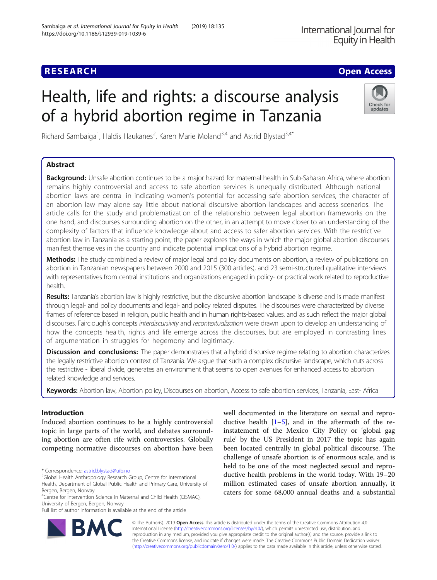# **RESEARCH CHE Open Access**

# Health, life and rights: a discourse analysis of a hybrid abortion regime in Tanzania



Richard Sambaiga<sup>1</sup>, Haldis Haukanes<sup>2</sup>, Karen Marie Moland<sup>3,4</sup> and Astrid Blystad<sup>3,4\*</sup>

# Abstract

Background: Unsafe abortion continues to be a major hazard for maternal health in Sub-Saharan Africa, where abortion remains highly controversial and access to safe abortion services is unequally distributed. Although national abortion laws are central in indicating women's potential for accessing safe abortion services, the character of an abortion law may alone say little about national discursive abortion landscapes and access scenarios. The article calls for the study and problematization of the relationship between legal abortion frameworks on the one hand, and discourses surrounding abortion on the other, in an attempt to move closer to an understanding of the complexity of factors that influence knowledge about and access to safer abortion services. With the restrictive abortion law in Tanzania as a starting point, the paper explores the ways in which the major global abortion discourses manifest themselves in the country and indicate potential implications of a hybrid abortion regime.

Methods: The study combined a review of major legal and policy documents on abortion, a review of publications on abortion in Tanzanian newspapers between 2000 and 2015 (300 articles), and 23 semi-structured qualitative interviews with representatives from central institutions and organizations engaged in policy- or practical work related to reproductive health.

Results: Tanzania's abortion law is highly restrictive, but the discursive abortion landscape is diverse and is made manifest through legal- and policy documents and legal- and policy related disputes. The discourses were characterized by diverse frames of reference based in religion, public health and in human rights-based values, and as such reflect the major global discourses. Fairclough's concepts interdiscursivity and recontextualization were drawn upon to develop an understanding of how the concepts health, rights and life emerge across the discourses, but are employed in contrasting lines of argumentation in struggles for hegemony and legitimacy.

Discussion and conclusions: The paper demonstrates that a hybrid discursive regime relating to abortion characterizes the legally restrictive abortion context of Tanzania. We argue that such a complex discursive landscape, which cuts across the restrictive - liberal divide, generates an environment that seems to open avenues for enhanced access to abortion related knowledge and services.

Keywords: Abortion law, Abortion policy, Discourses on abortion, Access to safe abortion services, Tanzania, East- Africa

## Introduction

Induced abortion continues to be a highly controversial topic in large parts of the world, and debates surrounding abortion are often rife with controversies. Globally competing normative discourses on abortion have been

well documented in the literature on sexual and reproductive health  $[1-5]$  $[1-5]$  $[1-5]$ , and in the aftermath of the reinstatement of the Mexico City Policy or 'global gag rule' by the US President in 2017 the topic has again been located centrally in global political discourse. The challenge of unsafe abortion is of enormous scale, and is held to be one of the most neglected sexual and reproductive health problems in the world today. With 19–20 million estimated cases of unsafe abortion annually, it caters for some 68,000 annual deaths and a substantial



© The Author(s). 2019 Open Access This article is distributed under the terms of the Creative Commons Attribution 4.0 International License [\(http://creativecommons.org/licenses/by/4.0/](http://creativecommons.org/licenses/by/4.0/)), which permits unrestricted use, distribution, and reproduction in any medium, provided you give appropriate credit to the original author(s) and the source, provide a link to the Creative Commons license, and indicate if changes were made. The Creative Commons Public Domain Dedication waiver [\(http://creativecommons.org/publicdomain/zero/1.0/](http://creativecommons.org/publicdomain/zero/1.0/)) applies to the data made available in this article, unless otherwise stated.

<sup>\*</sup> Correspondence: [astrid.blystad@uib.no](mailto:astrid.blystad@uib.no) <sup>3</sup>

<sup>&</sup>lt;sup>3</sup>Global Health Anthropology Research Group, Centre for International Health, Department of Global Public Health and Primary Care, University of

Bergen, Bergen, Norway 4 Centre for Intervention Science in Maternal and Child Health (CISMAC),

University of Bergen, Bergen, Norway Full list of author information is available at the end of the article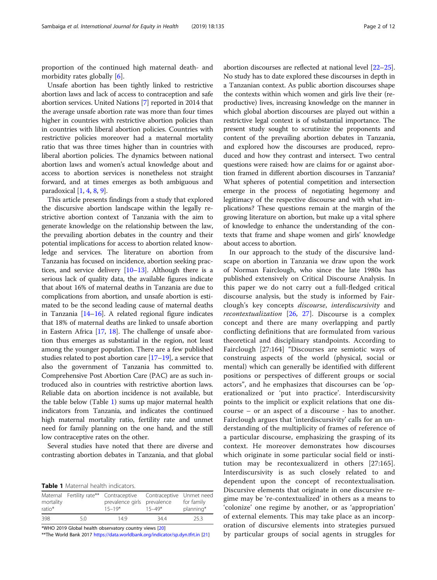proportion of the continued high maternal death- and morbidity rates globally [\[6](#page-10-0)].

Unsafe abortion has been tightly linked to restrictive abortion laws and lack of access to contraception and safe abortion services. United Nations [\[7](#page-10-0)] reported in 2014 that the average unsafe abortion rate was more than four times higher in countries with restrictive abortion policies than in countries with liberal abortion policies. Countries with restrictive policies moreover had a maternal mortality ratio that was three times higher than in countries with liberal abortion policies. The dynamics between national abortion laws and women's actual knowledge about and access to abortion services is nonetheless not straight forward, and at times emerges as both ambiguous and paradoxical  $[1, 4, 8, 9]$  $[1, 4, 8, 9]$  $[1, 4, 8, 9]$  $[1, 4, 8, 9]$  $[1, 4, 8, 9]$  $[1, 4, 8, 9]$  $[1, 4, 8, 9]$ .

This article presents findings from a study that explored the discursive abortion landscape within the legally restrictive abortion context of Tanzania with the aim to generate knowledge on the relationship between the law, the prevailing abortion debates in the country and their potential implications for access to abortion related knowledge and services. The literature on abortion from Tanzania has focused on incidence, abortion seeking practices, and service delivery [\[10](#page-10-0)–[13](#page-10-0)]. Although there is a serious lack of quality data, the available figures indicate that about 16% of maternal deaths in Tanzania are due to complications from abortion, and unsafe abortion is estimated to be the second leading cause of maternal deaths in Tanzania [\[14](#page-10-0)–[16](#page-10-0)]. A related regional figure indicates that 18% of maternal deaths are linked to unsafe abortion in Eastern Africa [\[17,](#page-10-0) [18](#page-10-0)]. The challenge of unsafe abortion thus emerges as substantial in the region, not least among the younger population. There are a few published studies related to post abortion care [\[17](#page-10-0)–[19\]](#page-10-0), a service that also the government of Tanzania has committed to. Comprehensive Post Abortion Care (PAC) are as such introduced also in countries with restrictive abortion laws. Reliable data on abortion incidence is not available, but the table below (Table 1) sums up major maternal health indicators from Tanzania, and indicates the continued high maternal mortality ratio, fertility rate and unmet need for family planning on the one hand, and the still low contraceptive rates on the other.

Several studies have noted that there are diverse and contrasting abortion debates in Tanzania, and that global

Table 1 Maternal health indicators.

| mortality<br>ratio* |    | Maternal Fertility rate** Contraceptive Contraceptive Unmet need<br>prevalence girls prevalence<br>$15 - 19*$ | $15 - 49*$ | for family<br>planning* |
|---------------------|----|---------------------------------------------------------------------------------------------------------------|------------|-------------------------|
| 398                 | 50 | 149                                                                                                           | 34.4       | 25.3                    |

\*WHO 2019 Global health observatory country views [[20\]](#page-10-0)

\*\*The World Bank 2017 <https://data.worldbank.org/indicator/sp.dyn.tfrt.in> [[21\]](#page-10-0)

abortion discourses are reflected at national level [\[22](#page-10-0)–[25](#page-11-0)]. No study has to date explored these discourses in depth in a Tanzanian context. As public abortion discourses shape the contexts within which women and girls live their (reproductive) lives, increasing knowledge on the manner in which global abortion discourses are played out within a restrictive legal context is of substantial importance. The present study sought to scrutinize the proponents and content of the prevailing abortion debates in Tanzania, and explored how the discourses are produced, reproduced and how they contrast and intersect. Two central questions were raised: how are claims for or against abortion framed in different abortion discourses in Tanzania? What spheres of potential competition and intersection emerge in the process of negotiating hegemony and legitimacy of the respective discourse and with what implications? These questions remain at the margin of the growing literature on abortion, but make up a vital sphere of knowledge to enhance the understanding of the contexts that frame and shape women and girls' knowledge about access to abortion.

In our approach to the study of the discursive landscape on abortion in Tanzania we draw upon the work of Norman Fairclough, who since the late 1980s has published extensively on Critical Discourse Analysis. In this paper we do not carry out a full-fledged critical discourse analysis, but the study is informed by Fairclough's key concepts discourse, interdiscursivity and recontextualization [[26,](#page-11-0) [27\]](#page-11-0). Discourse is a complex concept and there are many overlapping and partly conflicting definitions that are formulated from various theoretical and disciplinary standpoints. According to Fairclough [27:164] "Discourses are semiotic ways of construing aspects of the world (physical, social or mental) which can generally be identified with different positions or perspectives of different groups or social actors", and he emphasizes that discourses can be 'operationalized or 'put into practice'. Interdiscursivity points to the implicit or explicit relations that one discourse – or an aspect of a discourse - has to another. Fairclough argues that 'interdiscursivity' calls for an understanding of the multiplicity of frames of reference of a particular discourse, emphasizing the grasping of its context. He moreover demonstrates how discourses which originate in some particular social field or institution may be recontexualizerd in others [27:165]. Interdiscursivity is as such closely related to and dependent upon the concept of recontextualisation. Discursive elements that originate in one discursive regime may be 're-contextualized' in others as a means to 'colonize' one regime by another, or as 'appropriation' of external elements. This may take place as an incorporation of discursive elements into strategies pursued by particular groups of social agents in struggles for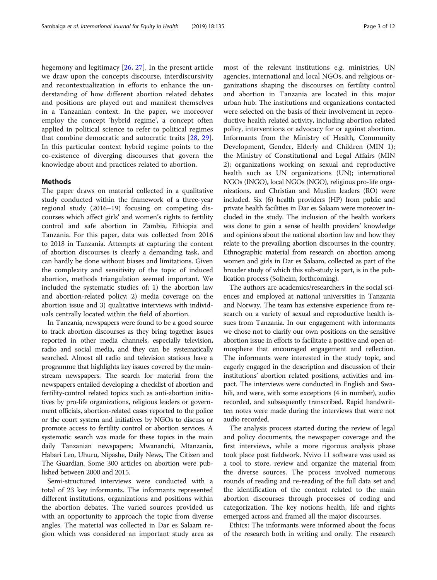hegemony and legitimacy [\[26](#page-11-0), [27\]](#page-11-0). In the present article we draw upon the concepts discourse, interdiscursivity and recontextualization in efforts to enhance the understanding of how different abortion related debates and positions are played out and manifest themselves in a Tanzanian context. In the paper, we moreover employ the concept 'hybrid regime', a concept often applied in political science to refer to political regimes that combine democratic and autocratic traits [\[28](#page-11-0), [29](#page-11-0)]. In this particular context hybrid regime points to the co-existence of diverging discourses that govern the knowledge about and practices related to abortion.

#### Methods

The paper draws on material collected in a qualitative study conducted within the framework of a three-year regional study (2016–19) focusing on competing discourses which affect girls' and women's rights to fertility control and safe abortion in Zambia, Ethiopia and Tanzania. For this paper, data was collected from 2016 to 2018 in Tanzania. Attempts at capturing the content of abortion discourses is clearly a demanding task, and can hardly be done without biases and limitations. Given the complexity and sensitivity of the topic of induced abortion, methods triangulation seemed important. We included the systematic studies of; 1) the abortion law and abortion-related policy; 2) media coverage on the abortion issue and 3) qualitative interviews with individuals centrally located within the field of abortion.

In Tanzania, newspapers were found to be a good source to track abortion discourses as they bring together issues reported in other media channels, especially television, radio and social media, and they can be systematically searched. Almost all radio and television stations have a programme that highlights key issues covered by the mainstream newspapers. The search for material from the newspapers entailed developing a checklist of abortion and fertility-control related topics such as anti-abortion initiatives by pro-life organizations, religious leaders or government officials, abortion-related cases reported to the police or the court system and initiatives by NGOs to discuss or promote access to fertility control or abortion services. A systematic search was made for these topics in the main daily Tanzanian newspapers; Mwananchi, Mtanzania, Habari Leo, Uhuru, Nipashe, Daily News, The Citizen and The Guardian. Some 300 articles on abortion were published between 2000 and 2015.

Semi-structured interviews were conducted with a total of 23 key informants. The informants represented different institutions, organizations and positions within the abortion debates. The varied sources provided us with an opportunity to approach the topic from diverse angles. The material was collected in Dar es Salaam region which was considered an important study area as

most of the relevant institutions e.g. ministries, UN agencies, international and local NGOs, and religious organizations shaping the discourses on fertility control and abortion in Tanzania are located in this major urban hub. The institutions and organizations contacted were selected on the basis of their involvement in reproductive health related activity, including abortion related policy, interventions or advocacy for or against abortion. Informants from the Ministry of Health, Community Development, Gender, Elderly and Children (MIN 1); the Ministry of Constitutional and Legal Affairs (MIN 2); organizations working on sexual and reproductive health such as UN organizations (UN); international NGOs (INGO), local NGOs (NGO), religious pro-life organizations, and Christian and Muslim leaders (RO) were included. Six (6) health providers (HP) from public and private health facilities in Dar es Salaam were moreover included in the study. The inclusion of the health workers was done to gain a sense of health providers' knowledge and opinions about the national abortion law and how they relate to the prevailing abortion discourses in the country. Ethnographic material from research on abortion among women and girls in Dar es Salaam, collected as part of the broader study of which this sub-study is part, is in the publication process (Solheim, forthcoming).

The authors are academics/researchers in the social sciences and employed at national universities in Tanzania and Norway. The team has extensive experience from research on a variety of sexual and reproductive health issues from Tanzania. In our engagement with informants we chose not to clarify our own positions on the sensitive abortion issue in efforts to facilitate a positive and open atmosphere that encouraged engagement and reflection. The informants were interested in the study topic, and eagerly engaged in the description and discussion of their institutions' abortion related positions, activities and impact. The interviews were conducted in English and Swahili, and were, with some exceptions (4 in number), audio recorded, and subsequently transcribed. Rapid handwritten notes were made during the interviews that were not audio recorded.

The analysis process started during the review of legal and policy documents, the newspaper coverage and the first interviews, while a more rigorous analysis phase took place post fieldwork. Nvivo 11 software was used as a tool to store, review and organize the material from the diverse sources. The process involved numerous rounds of reading and re-reading of the full data set and the identification of the content related to the main abortion discourses through processes of coding and categorization. The key notions health, life and rights emerged across and framed all the major discourses.

Ethics: The informants were informed about the focus of the research both in writing and orally. The research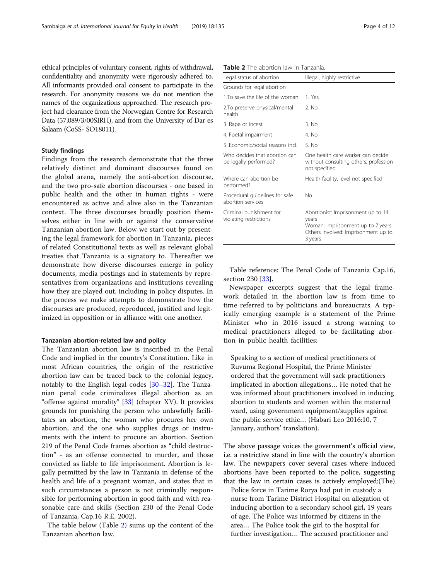ethical principles of voluntary consent, rights of withdrawal, confidentiality and anonymity were rigorously adhered to. All informants provided oral consent to participate in the research. For anonymity reasons we do not mention the names of the organizations approached. The research project had clearance from the Norwegian Centre for Research Data (57,089/3/00SIRH), and from the University of Dar es Salaam (CoSS- SO18011).

#### Study findings

Findings from the research demonstrate that the three relatively distinct and dominant discourses found on the global arena, namely the anti-abortion discourse, and the two pro-safe abortion discourses - one based in public health and the other in human rights - were encountered as active and alive also in the Tanzanian context. The three discourses broadly position themselves either in line with or against the conservative Tanzanian abortion law. Below we start out by presenting the legal framework for abortion in Tanzania, pieces of related Constitutional texts as well as relevant global treaties that Tanzania is a signatory to. Thereafter we demonstrate how diverse discourses emerge in policy documents, media postings and in statements by representatives from organizations and institutions revealing how they are played out, including in policy disputes. In the process we make attempts to demonstrate how the discourses are produced, reproduced, justified and legitimized in opposition or in alliance with one another.

#### Tanzanian abortion-related law and policy

The Tanzanian abortion law is inscribed in the Penal Code and implied in the country's Constitution. Like in most African countries, the origin of the restrictive abortion law can be traced back to the colonial legacy, notably to the English legal codes [[30](#page-11-0)–[32](#page-11-0)]. The Tanzanian penal code criminalizes illegal abortion as an "offense against morality"  $[33]$  $[33]$  $[33]$  (chapter XV). It provides grounds for punishing the person who unlawfully facilitates an abortion, the woman who procures her own abortion, and the one who supplies drugs or instruments with the intent to procure an abortion. Section 219 of the Penal Code frames abortion as "child destruction" - as an offense connected to murder, and those convicted as liable to life imprisonment. Abortion is legally permitted by the law in Tanzania in defense of the health and life of a pregnant woman, and states that in such circumstances a person is not criminally responsible for performing abortion in good faith and with reasonable care and skills (Section 230 of the Penal Code of Tanzania, Cap.16 R.E, 2002).

The table below (Table 2) sums up the content of the Tanzanian abortion law.

|  |  |  |  |  |  | <b>Table 2</b> The abortion law in Tanzania. |
|--|--|--|--|--|--|----------------------------------------------|
|--|--|--|--|--|--|----------------------------------------------|

| Legal status of abortion                               | Illegal, highly restrictive                                                                                                        |  |  |  |
|--------------------------------------------------------|------------------------------------------------------------------------------------------------------------------------------------|--|--|--|
| Grounds for legal abortion                             |                                                                                                                                    |  |  |  |
| 1. To save the life of the woman                       | 1. Yes                                                                                                                             |  |  |  |
| 2.To preserve physical/mental<br>health                | 2. No                                                                                                                              |  |  |  |
| 3. Rape or incest                                      | 3. No                                                                                                                              |  |  |  |
| 4. Foetal impairment                                   | 4. No                                                                                                                              |  |  |  |
| 5. Economic/social reasons incl.                       | .5. No                                                                                                                             |  |  |  |
| Who decides that abortion can<br>be legally performed? | One health care worker can decide<br>without consulting others, profession<br>not specified                                        |  |  |  |
| Where can abortion be<br>performed?                    | Health facility, level not specified                                                                                               |  |  |  |
| Procedural guidelines for safe<br>abortion services    | No                                                                                                                                 |  |  |  |
| Criminal punishment for<br>violating restrictions      | Abortionist: Imprisonment up to 14<br>years<br>Woman: Imprisonment up to 7 years<br>Others involved: Imprisonment up to<br>3 years |  |  |  |

Table reference: The Penal Code of Tanzania Cap.16, section 230 [\[33](#page-11-0)].

Newspaper excerpts suggest that the legal framework detailed in the abortion law is from time to time referred to by politicians and bureaucrats. A typically emerging example is a statement of the Prime Minister who in 2016 issued a strong warning to medical practitioners alleged to be facilitating abortion in public health facilities:

Speaking to a section of medical practitioners of Ruvuma Regional Hospital, the Prime Minister ordered that the government will sack practitioners implicated in abortion allegations… He noted that he was informed about practitioners involved in inducing abortion to students and women within the maternal ward, using government equipment/supplies against the public service ethic… (Habari Leo 2016:10, 7 January, authors' translation).

The above passage voices the government's official view, i.e. a restrictive stand in line with the country's abortion law. The newpapers cover several cases where induced abortions have been reported to the police, suggesting that the law in certain cases is actively employed:(The)

Police force in Tarime Rorya had put in custody a nurse from Tarime District Hospital on allegation of inducing abortion to a secondary school girl, 19 years of age. The Police was informed by citizens in the area… The Police took the girl to the hospital for further investigation… The accused practitioner and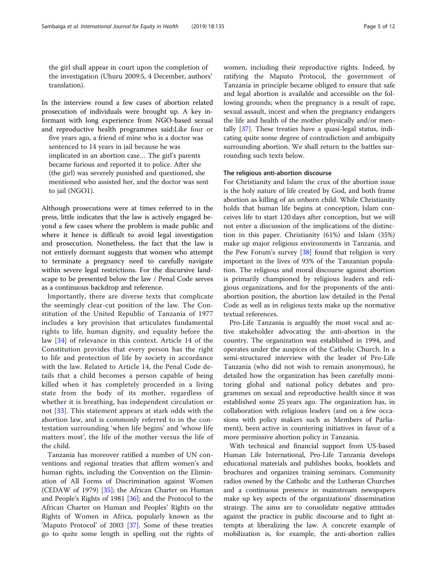the girl shall appear in court upon the completion of the investigation (Uhuru 2009:5, 4 December, authors' translation).

In the interview round a few cases of abortion related prosecution of individuals were brought up. A key informant with long experience from NGO-based sexual and reproductive health programmes said:Like four or

five years ago, a friend of mine who is a doctor was sentenced to 14 years in jail because he was implicated in an abortion case… The girl's parents became furious and reported it to police. After she (the girl) was severely punished and questioned, she mentioned who assisted her, and the doctor was sent to jail (NGO1).

Although prosecutions were at times referred to in the press, little indicates that the law is actively engaged beyond a few cases where the problem is made public and where it hence is difficult to avoid legal investigation and prosecution. Nonetheless, the fact that the law is not entirely dormant suggests that women who attempt to terminate a pregnancy need to carefully navigate within severe legal restrictions. For the discursive landscape to be presented below the law / Penal Code serves as a continuous backdrop and reference.

Importantly, there are diverse texts that complicate the seemingly clear-cut position of the law. The Constitution of the United Republic of Tanzania of 1977 includes a key provision that articulates fundamental rights to life, human dignity, and equality before the law [[34](#page-11-0)] of relevance in this context. Article 14 of the Constitution provides that every person has the right to life and protection of life by society in accordance with the law. Related to Article 14, the Penal Code details that a child becomes a person capable of being killed when it has completely proceeded in a living state from the body of its mother, regardless of whether it is breathing, has independent circulation or not [\[33](#page-11-0)]. This statement appears at stark odds with the abortion law, and is commonly referred to in the contestation surrounding 'when life begins' and 'whose life matters most', the life of the mother versus the life of the child.

Tanzania has moreover ratified a number of UN conventions and regional treaties that affirm women's and human rights, including the Convention on the Elimination of All Forms of Discrimination against Women (CEDAW of 1979) [\[35\]](#page-11-0); the African Charter on Human and People's Rights of 1981 [\[36](#page-11-0)]; and the Protocol to the African Charter on Human and Peoples' Rights on the Rights of Women in Africa, popularly known as the 'Maputo Protocol' of 2003 [\[37](#page-11-0)]. Some of these treaties go to quite some length in spelling out the rights of women, including their reproductive rights. Indeed, by ratifying the Maputo Protocol, the government of Tanzania in principle became obliged to ensure that safe and legal abortion is available and accessible on the following grounds; when the pregnancy is a result of rape, sexual assault, incest and when the pregnancy endangers the life and health of the mother physically and/or mentally [\[37\]](#page-11-0). These treaties have a quasi-legal status, indicating quite some degree of contradiction and ambiguity surrounding abortion. We shall return to the battles surrounding such texts below.

### The religious anti-abortion discourse

For Christianity and Islam the crux of the abortion issue is the holy nature of life created by God, and both frame abortion as killing of an unborn child. While Christianity holds that human life begins at conception, Islam conceives life to start 120 days after conception, but we will not enter a discussion of the implications of the distinction in this paper. Christianity (61%) and Islam (35%) make up major religious environments in Tanzania, and the Pew Forum's survey [\[38\]](#page-11-0) found that religion is very important in the lives of 93% of the Tanzanian population. The religious and moral discourse against abortion is primarily championed by religious leaders and religious organizations, and for the proponents of the antiabortion position, the abortion law detailed in the Penal Code as well as in religious texts make up the normative textual references.

Pro-Life Tanzania is arguably the most vocal and active stakeholder advocating the anti-abortion in the country. The organization was established in 1994, and operates under the auspices of the Catholic Church. In a semi-structured interview with the leader of Pro-Life Tanzania (who did not wish to remain anonymous), he detailed how the organization has been carefully monitoring global and national policy debates and programmes on sexual and reproductive health since it was established some 25 years ago. The organization has, in collaboration with religious leaders (and on a few occasions with policy makers such as Members of Parliament), been active in countering initiatives in favor of a more permissive abortion policy in Tanzania.

With technical and financial support from US-based Human Life International, Pro-Life Tanzania develops educational materials and publishes books, booklets and brochures and organizes training seminars. Community radios owned by the Catholic and the Lutheran Churches and a continuous presence in mainstream newspapers make up key aspects of the organizations' dissemination strategy. The aims are to consolidate negative attitudes against the practice in public discourse and to fight attempts at liberalizing the law. A concrete example of mobilization is, for example, the anti-abortion rallies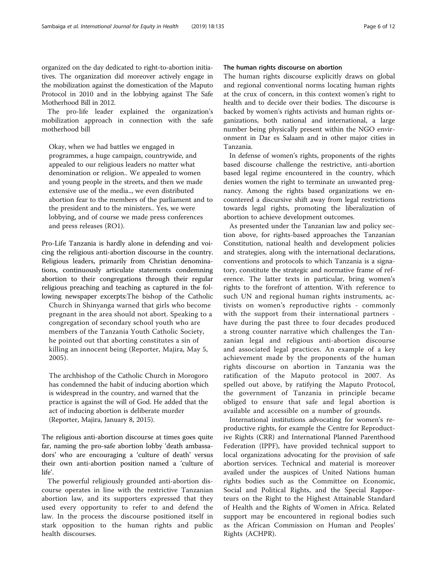organized on the day dedicated to right-to-abortion initiatives. The organization did moreover actively engage in the mobilization against the domestication of the Maputo Protocol in 2010 and in the lobbying against The Safe Motherhood Bill in 2012.

The pro-life leader explained the organization's mobilization approach in connection with the safe motherhood bill

Okay, when we had battles we engaged in programmes, a huge campaign, countrywide, and appealed to our religious leaders no matter what denomination or religion.. We appealed to women and young people in the streets, and then we made extensive use of the media.., we even distributed abortion fear to the members of the parliament and to the president and to the ministers.. Yes, we were lobbying, and of course we made press conferences and press releases (RO1).

Pro-Life Tanzania is hardly alone in defending and voicing the religious anti-abortion discourse in the country. Religious leaders, primarily from Christian denominations, continuously articulate statements condemning abortion to their congregations through their regular religious preaching and teaching as captured in the following newspaper excerpts:The bishop of the Catholic

Church in Shinyanga warned that girls who become pregnant in the area should not abort. Speaking to a congregation of secondary school youth who are members of the Tanzania Youth Catholic Society, he pointed out that aborting constitutes a sin of killing an innocent being (Reporter, Majira, May 5, 2005).

The archbishop of the Catholic Church in Morogoro has condemned the habit of inducing abortion which is widespread in the country, and warned that the practice is against the will of God. He added that the act of inducing abortion is deliberate murder (Reporter, Majira, January 8, 2015).

The religious anti-abortion discourse at times goes quite far, naming the pro-safe abortion lobby 'death ambassadors' who are encouraging a 'culture of death' versus their own anti-abortion position named a 'culture of life'.

The powerful religiously grounded anti-abortion discourse operates in line with the restrictive Tanzanian abortion law, and its supporters expressed that they used every opportunity to refer to and defend the law. In the process the discourse positioned itself in stark opposition to the human rights and public health discourses.

#### The human rights discourse on abortion

The human rights discourse explicitly draws on global and regional conventional norms locating human rights at the crux of concern, in this context women's right to health and to decide over their bodies. The discourse is backed by women's rights activists and human rights organizations, both national and international, a large number being physically present within the NGO environment in Dar es Salaam and in other major cities in Tanzania.

In defense of women's rights, proponents of the rights based discourse challenge the restrictive, anti-abortion based legal regime encountered in the country, which denies women the right to terminate an unwanted pregnancy. Among the rights based organizations we encountered a discursive shift away from legal restrictions towards legal rights, promoting the liberalization of abortion to achieve development outcomes.

As presented under the Tanzanian law and policy section above, for rights-based approaches the Tanzanian Constitution, national health and development policies and strategies, along with the international declarations, conventions and protocols to which Tanzania is a signatory, constitute the strategic and normative frame of reference. The latter texts in particular, bring women's rights to the forefront of attention. With reference to such UN and regional human rights instruments, activists on women's reproductive rights - commonly with the support from their international partners have during the past three to four decades produced a strong counter narrative which challenges the Tanzanian legal and religious anti-abortion discourse and associated legal practices. An example of a key achievement made by the proponents of the human rights discourse on abortion in Tanzania was the ratification of the Maputo protocol in 2007. As spelled out above, by ratifying the Maputo Protocol, the government of Tanzania in principle became obliged to ensure that safe and legal abortion is available and accessible on a number of grounds.

International institutions advocating for women's reproductive rights, for example the Centre for Reproductive Rights (CRR) and International Planned Parenthood Federation (IPPF), have provided technical support to local organizations advocating for the provision of safe abortion services. Technical and material is moreover availed under the auspices of United Nations human rights bodies such as the Committee on Economic, Social and Political Rights, and the Special Rapporteurs on the Right to the Highest Attainable Standard of Health and the Rights of Women in Africa. Related support may be encountered in regional bodies such as the African Commission on Human and Peoples' Rights (ACHPR).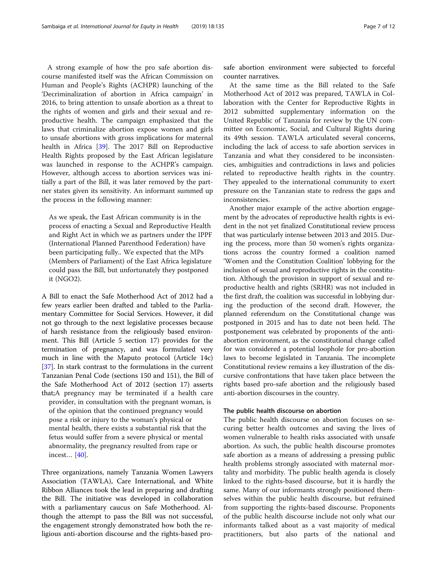A strong example of how the pro safe abortion discourse manifested itself was the African Commission on Human and People's Rights (ACHPR) launching of the 'Decriminalization of abortion in Africa campaign' in 2016, to bring attention to unsafe abortion as a threat to the rights of women and girls and their sexual and reproductive health. The campaign emphasized that the laws that criminalize abortion expose women and girls to unsafe abortions with gross implications for maternal health in Africa [\[39\]](#page-11-0). The 2017 Bill on Reproductive Health Rights proposed by the East African legislature was launched in response to the ACHPR's campaign. However, although access to abortion services was initially a part of the Bill, it was later removed by the partner states given its sensitivity. An informant summed up the process in the following manner:

As we speak, the East African community is in the process of enacting a Sexual and Reproductive Health and Right Act in which we as partners under the IPPF (International Planned Parenthood Federation) have been participating fully.. We expected that the MPs (Members of Parliament) of the East Africa legislature could pass the Bill, but unfortunately they postponed it (NGO2).

A Bill to enact the Safe Motherhood Act of 2012 had a few years earlier been drafted and tabled to the Parliamentary Committee for Social Services. However, it did not go through to the next legislative processes because of harsh resistance from the religiously based environment. This Bill (Article 5 section 17) provides for the termination of pregnancy, and was formulated very much in line with the Maputo protocol (Article 14c) [[37\]](#page-11-0). In stark contrast to the formulations in the current Tanzanian Penal Code (sections 150 and 151), the Bill of the Safe Motherhood Act of 2012 (section 17) asserts that;A pregnancy may be terminated if a health care provider, in consultation with the pregnant woman, is of the opinion that the continued pregnancy would pose a risk or injury to the woman's physical or mental health, there exists a substantial risk that the fetus would suffer from a severe physical or mental abnormality, the pregnancy resulted from rape or incest… [[40\]](#page-11-0).

Three organizations, namely Tanzania Women Lawyers Association (TAWLA), Care International, and White Ribbon Alliances took the lead in preparing and drafting the Bill. The initiative was developed in collaboration with a parliamentary caucus on Safe Motherhood. Although the attempt to pass the Bill was not successful, the engagement strongly demonstrated how both the religious anti-abortion discourse and the rights-based prosafe abortion environment were subjected to forceful counter narratives.

At the same time as the Bill related to the Safe Motherhood Act of 2012 was prepared, TAWLA in Collaboration with the Center for Reproductive Rights in 2012 submitted supplementary information on the United Republic of Tanzania for review by the UN committee on Economic, Social, and Cultural Rights during its 49th session. TAWLA articulated several concerns, including the lack of access to safe abortion services in Tanzania and what they considered to be inconsistencies, ambiguities and contradictions in laws and policies related to reproductive health rights in the country. They appealed to the international community to exert pressure on the Tanzanian state to redress the gaps and inconsistencies.

Another major example of the active abortion engagement by the advocates of reproductive health rights is evident in the not yet finalized Constitutional review process that was particularly intense between 2013 and 2015. During the process, more than 50 women's rights organizations across the country formed a coalition named 'Women and the Constitution Coalition' lobbying for the inclusion of sexual and reproductive rights in the constitution. Although the provision in support of sexual and reproductive health and rights (SRHR) was not included in the first draft, the coalition was successful in lobbying during the production of the second draft. However, the planned referendum on the Constitutional change was postponed in 2015 and has to date not been held. The postponement was celebrated by proponents of the antiabortion environment, as the constitutional change called for was considered a potential loophole for pro-abortion laws to become legislated in Tanzania. The incomplete Constitutional review remains a key illustration of the discursive confrontations that have taken place between the rights based pro-safe abortion and the religiously based anti-abortion discourses in the country.

#### The public health discourse on abortion

The public health discourse on abortion focuses on securing better health outcomes and saving the lives of women vulnerable to health risks associated with unsafe abortion. As such, the public health discourse promotes safe abortion as a means of addressing a pressing public health problems strongly associated with maternal mortality and morbidity. The public health agenda is closely linked to the rights-based discourse, but it is hardly the same. Many of our informants strongly positioned themselves within the public health discourse, but refrained from supporting the rights-based discourse. Proponents of the public health discourse include not only what our informants talked about as a vast majority of medical practitioners, but also parts of the national and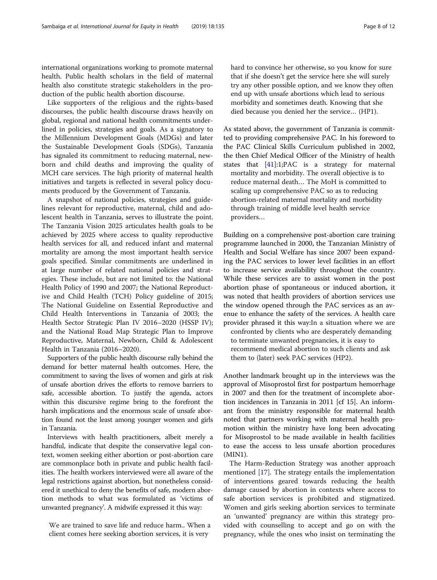international organizations working to promote maternal health. Public health scholars in the field of maternal health also constitute strategic stakeholders in the production of the public health abortion discourse.

Like supporters of the religious and the rights-based discourses, the public health discourse draws heavily on global, regional and national health commitments underlined in policies, strategies and goals. As a signatory to the Millennium Development Goals (MDGs) and later the Sustainable Development Goals (SDGs), Tanzania has signaled its commitment to reducing maternal, newborn and child deaths and improving the quality of MCH care services. The high priority of maternal health initiatives and targets is reflected in several policy documents produced by the Government of Tanzania.

A snapshot of national policies, strategies and guidelines relevant for reproductive, maternal, child and adolescent health in Tanzania, serves to illustrate the point. The Tanzania Vision 2025 articulates health goals to be achieved by 2025 where access to quality reproductive health services for all, and reduced infant and maternal mortality are among the most important health service goals specified. Similar commitments are underlined in at large number of related national policies and strategies. These include, but are not limited to: the National Health Policy of 1990 and 2007; the National Reproductive and Child Health (TCH) Policy guideline of 2015; The National Guideline on Essential Reproductive and Child Health Interventions in Tanzania of 2003; the Health Sector Strategic Plan IV 2016–2020 (HSSP IV); and the National Road Map Strategic Plan to Improve Reproductive, Maternal, Newborn, Child & Adolescent Health in Tanzania (2016–2020).

Supporters of the public health discourse rally behind the demand for better maternal health outcomes. Here, the commitment to saving the lives of women and girls at risk of unsafe abortion drives the efforts to remove barriers to safe, accessible abortion. To justify the agenda, actors within this discursive regime bring to the forefront the harsh implications and the enormous scale of unsafe abortion found not the least among younger women and girls in Tanzania.

Interviews with health practitioners, albeit merely a handful, indicate that despite the conservative legal context, women seeking either abortion or post-abortion care are commonplace both in private and public health facilities. The health workers interviewed were all aware of the legal restrictions against abortion, but nonetheless considered it unethical to deny the benefits of safe, modern abortion methods to what was formulated as 'victims of unwanted pregnancy'. A midwife expressed it this way:

We are trained to save life and reduce harm.. When a client comes here seeking abortion services, it is very

hard to convince her otherwise, so you know for sure that if she doesn't get the service here she will surely try any other possible option, and we know they often end up with unsafe abortions which lead to serious morbidity and sometimes death. Knowing that she died because you denied her the service… (HP1).

As stated above, the government of Tanzania is committed to providing comprehensive PAC. In his foreword to the PAC Clinical Skills Curriculum published in 2002, the then Chief Medical Officer of the Ministry of health states that  $[41]:1; PAC$  $[41]:1; PAC$  $[41]:1; PAC$  is a strategy for maternal mortality and morbidity. The overall objective is to reduce maternal death… The MoH is committed to scaling up comprehensive PAC so as to reducing abortion-related maternal mortality and morbidity through training of middle level health service providers…

Building on a comprehensive post-abortion care training programme launched in 2000, the Tanzanian Ministry of Health and Social Welfare has since 2007 been expanding the PAC services to lower level facilities in an effort to increase service availability throughout the country. While these services are to assist women in the post abortion phase of spontaneous or induced abortion, it was noted that health providers of abortion services use the window opened through the PAC services as an avenue to enhance the safety of the services. A health care provider phrased it this way:In a situation where we are confronted by clients who are desperately demanding to terminate unwanted pregnancies, it is easy to recommend medical abortion to such clients and ask

Another landmark brought up in the interviews was the approval of Misoprostol first for postpartum hemorrhage in 2007 and then for the treatment of incomplete abortion incidences in Tanzania in 2011 [cf 15]. An informant from the ministry responsible for maternal health noted that partners working with maternal health promotion within the ministry have long been advocating for Misoprostol to be made available in health facilities to ease the access to less unsafe abortion procedures (MIN1).

them to (later) seek PAC services (HP2).

The Harm-Reduction Strategy was another approach mentioned [\[17\]](#page-10-0). The strategy entails the implementation of interventions geared towards reducing the health damage caused by abortion in contexts where access to safe abortion services is prohibited and stigmatized. Women and girls seeking abortion services to terminate an 'unwanted' pregnancy are within this strategy provided with counselling to accept and go on with the pregnancy, while the ones who insist on terminating the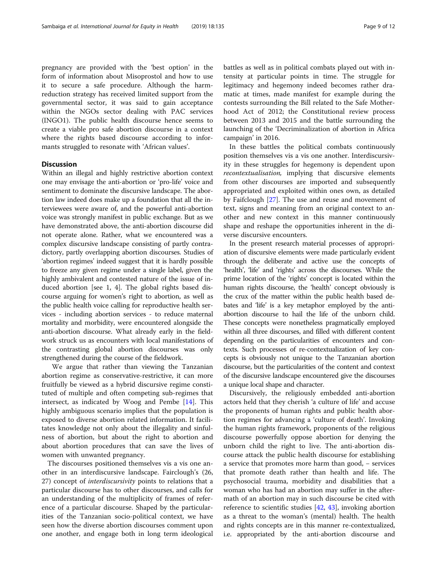pregnancy are provided with the 'best option' in the form of information about Misoprostol and how to use it to secure a safe procedure. Although the harmreduction strategy has received limited support from the governmental sector, it was said to gain acceptance within the NGOs sector dealing with PAC services (INGO1). The public health discourse hence seems to create a viable pro safe abortion discourse in a context where the rights based discourse according to informants struggled to resonate with 'African values'.

#### **Discussion**

Within an illegal and highly restrictive abortion context one may envisage the anti-abortion or 'pro-life' voice and sentiment to dominate the discursive landscape. The abortion law indeed does make up a foundation that all the interviewees were aware of, and the powerful anti-abortion voice was strongly manifest in public exchange. But as we have demonstrated above, the anti-abortion discourse did not operate alone. Rather, what we encountered was a complex discursive landscape consisting of partly contradictory, partly overlapping abortion discourses. Studies of 'abortion regimes' indeed suggest that it is hardly possible to freeze any given regime under a single label, given the highly ambivalent and contested nature of the issue of induced abortion [see 1, 4]. The global rights based discourse arguing for women's right to abortion, as well as the public health voice calling for reproductive health services - including abortion services - to reduce maternal mortality and morbidity, were encountered alongside the anti-abortion discourse. What already early in the fieldwork struck us as encounters with local manifestations of the contrasting global abortion discourses was only strengthened during the course of the fieldwork.

We argue that rather than viewing the Tanzanian abortion regime as conservative-restrictive, it can more fruitfully be viewed as a hybrid discursive regime constituted of multiple and often competing sub-regimes that intersect, as indicated by Woog and Pembe [[14](#page-10-0)]. This highly ambiguous scenario implies that the population is exposed to diverse abortion related information. It facilitates knowledge not only about the illegality and sinfulness of abortion, but about the right to abortion and about abortion procedures that can save the lives of women with unwanted pregnancy.

The discourses positioned themselves vis a vis one another in an interdiscursive landscape. Fairclough's (26, 27) concept of interdiscursivity points to relations that a particular discourse has to other discourses, and calls for an understanding of the multiplicity of frames of reference of a particular discourse. Shaped by the particularities of the Tanzanian socio-political context, we have seen how the diverse abortion discourses comment upon one another, and engage both in long term ideological battles as well as in political combats played out with intensity at particular points in time. The struggle for legitimacy and hegemony indeed becomes rather dramatic at times, made manifest for example during the contests surrounding the Bill related to the Safe Motherhood Act of 2012; the Constitutional review process between 2013 and 2015 and the battle surrounding the launching of the 'Decriminalization of abortion in Africa campaign' in 2016.

In these battles the political combats continuously position themselves vis a vis one another. Interdiscursivity in these struggles for hegemony is dependent upon recontextualisation, implying that discursive elements from other discourses are imported and subsequently appropriated and exploited within ones own, as detailed by Faifclough [[27](#page-11-0)]. The use and reuse and movement of text, signs and meaning from an original context to another and new context in this manner continuously shape and reshape the opportunities inherent in the diverse discursive encounters.

In the present research material processes of appropriation of discursive elements were made particularly evident through the deliberate and active use the concepts of 'health', 'life' and 'rights' across the discourses. While the prime location of the 'rights' concept is located within the human rights discourse, the 'health' concept obviously is the crux of the matter within the public health based debates and 'life' is a key metaphor employed by the antiabortion discourse to hail the life of the unborn child. These concepts were nonetheless pragmatically employed within all three discourses, and filled with different content depending on the particularities of encounters and contexts. Such processes of re-contextualization of key concepts is obviously not unique to the Tanzanian abortion discourse, but the particularities of the content and context of the discursive landscape encountered give the discourses a unique local shape and character.

Discursively, the religiously embedded anti-abortion actors held that they cherish 'a culture of life' and accuse the proponents of human rights and public health abortion regimes for advancing a 'culture of death'. Invoking the human rights framework, proponents of the religious discourse powerfully oppose abortion for denying the unborn child the right to live. The anti-abortion discourse attack the public health discourse for establishing a service that promotes more harm than good, − services that promote death rather than health and life. The psychosocial trauma, morbidity and disabilities that a woman who has had an abortion may suffer in the aftermath of an abortion may in such discourse be cited with reference to scientific studies [[42](#page-11-0), [43\]](#page-11-0), invoking abortion as a threat to the woman's (mental) health. The health and rights concepts are in this manner re-contextualized, i.e. appropriated by the anti-abortion discourse and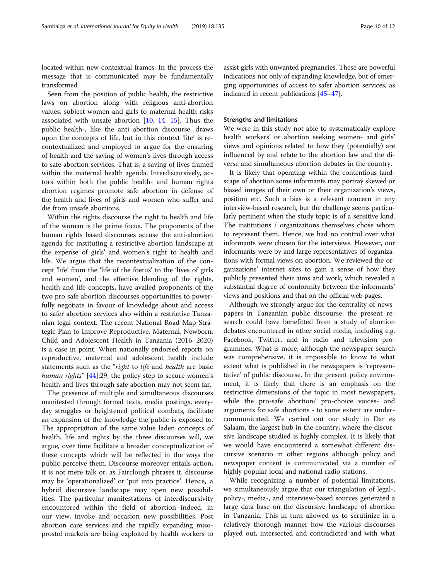located within new contextual frames. In the process the message that is communicated may be fundamentally transformed.

Seen from the position of public health, the restrictive laws on abortion along with religious anti-abortion values, subject women and girls to maternal health risks associated with unsafe abortion [[10,](#page-10-0) [14](#page-10-0), [15\]](#page-10-0). Thus the public health-, like the anti abortion discourse, draws upon the concepts of life, but in this context 'life' is recontextualized and employed to argue for the ensuring of health and the saving of women's lives through access to safe abortion services. That is, a saving of lives framed within the maternal health agenda. Interdiscursively, actors within both the public health- and human rights abortion regimes promote safe abortion in defense of the health and lives of girls and women who suffer and die from unsafe abortions.

Within the rights discourse the right to health and life of the woman is the prime focus. The proponents of the human rights based discourses accuse the anti-abortion agenda for instituting a restrictive abortion landscape at the expense of girls' and women's right to health and life. We argue that the recontextualization of the concept 'life' from the 'life of the foetus' to the 'lives of girls and women', and the effective blending of the rights, health and life concepts, have availed proponents of the two pro safe abortion discourses opportunities to powerfully negotiate in favour of knowledge about and access to safer abortion services also within a restrictive Tanzanian legal context. The recent National Road Map Strategic Plan to Improve Reproductive, Maternal, Newborn, Child and Adolescent Health in Tanzania (2016–2020) is a case in point. When nationally endorsed reports on reproductive, maternal and adolescent health include statements such as the "right to life and health are basic human rights" [\[44](#page-11-0)]:29, the policy step to secure women's health and lives through safe abortion may not seem far.

The presence of multiple and simultaneous discourses manifested through formal texts, media postings, everyday struggles or heightened political combats, facilitate an expansion of the knowledge the public is exposed to. The appropriation of the same value laden concepts of health, life and rights by the three discourses will, we argue, over time facilitate a broader conceptualization of these concepts which will be reflected in the ways the public perceive them. Discourse moreover entails action, it is not mere talk or, as Fairclough phrases it, discourse may be 'operationalized' or 'put into practice'. Hence, a hybrid discursive landscape may open new possibilities. The particular manifestations of interdiscursivity encountered within the field of abortion indeed, in our view, invoke and occasion new possibilities. Post abortion care services and the rapidly expanding misoprostol markets are being exploited by health workers to assist girls with unwanted pregnancies. These are powerful indications not only of expanding knowledge, but of emerging opportunities of access to safer abortion services, as indicated in recent publications [\[45](#page-11-0)–[47](#page-11-0)].

#### Strengths and limitations

We were in this study not able to systematically explore health workers' or abortion seeking women- and girls' views and opinions related to how they (potentially) are influenced by and relate to the abortion law and the diverse and simultaneous abortion debates in the country.

It is likely that operating within the contentious landscape of abortion some informants may portray skewed or biased images of their own or their organization's views, position etc. Such a bias is a relevant concern in any interview-based research, but the challenge seems particularly pertinent when the study topic is of a sensitive kind. The institutions / organizations themselves chose whom to represent them. Hence, we had no control over what informants were chosen for the interviews. However, our informants were by and large representatives of organizations with formal views on abortion. We reviewed the organizations' internet sites to gain a sense of how they publicly presented their aims and work, which revealed a substantial degree of conformity between the informants' views and positions and that on the official web pages.

Although we strongly argue for the centrality of newspapers in Tanzanian public discourse, the present research could have benefitted from a study of abortion debates encountered in other social media, including e.g. Facebook, Twitter, and in radio and television programmes. What is more, although the newspaper search was comprehensive, it is impossible to know to what extent what is published in the newspapers is 'representative' of public discourse. In the present policy environment, it is likely that there is an emphasis on the restrictive dimensions of the topic in most newspapers, while the pro-safe abortion/ pro-choice voices- and arguments for safe abortions - to some extent are undercommunicated. We carried out our study in Dar es Salaam, the largest hub in the country, where the discursive landscape studied is highly complex. It is likely that we would have encountered a somewhat different discursive scenario in other regions although policy and newspaper content is communicated via a number of highly popular local and national radio stations.

While recognizing a number of potential limitations, we simultaneously argue that our triangulation of legal-, policy-, media-, and interview-based sources generated a large data base on the discursive landscape of abortion in Tanzania. This in turn allowed us to scrutinize in a relatively thorough manner how the various discourses played out, intersected and contradicted and with what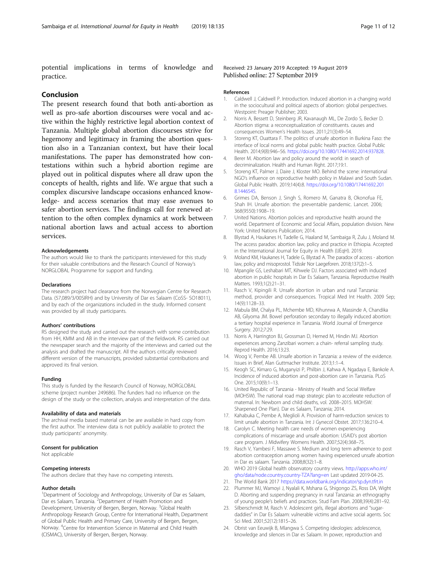<span id="page-10-0"></span>potential implications in terms of knowledge and practice.

### Conclusion

The present research found that both anti-abortion as well as pro-safe abortion discourses were vocal and active within the highly restrictive legal abortion context of Tanzania. Multiple global abortion discourses strive for hegemony and legitimacy in framing the abortion question also in a Tanzanian context, but have their local manifestations. The paper has demonstrated how contestations within such a hybrid abortion regime are played out in political disputes where all draw upon the concepts of health, rights and life. We argue that such a complex discursive landscape occasions enhanced knowledge- and access scenarios that may ease avenues to safer abortion services. The findings call for renewed attention to the often complex dynamics at work between national abortion laws and actual access to abortion services.

#### Acknowledgements

The authors would like to thank the participants interviewed for this study for their valuable contributions and the Research Council of Norway's NORGLOBAL Programme for support and funding.

#### Declarations

The research project had clearance from the Norwegian Centre for Research Data. (57,089/3/00SIRH) and by University of Dar es Salaam (CoSS- SO18011), and by each of the organizations included in the study. Informed consent was provided by all study participants.

#### Authors' contributions

RS designed the study and carried out the research with some contribution from HH, KMM and AB in the interview part of the fieldwork. RS carried out the newspaper search and the majority of the interviews and carried out the analysis and drafted the manuscript. All the authors critically reviewed different version of the manuscripts, provided substantial contributions and approved its final version.

#### Funding

This study is funded by the Research Council of Norway, NORGLOBAL scheme (project number 249686). The funders had no influence on the design of the study or the collection, analysis and interpretation of the data.

#### Availability of data and materials

The archival media based material can be are available in hard copy from the first author. The interview data is not publicly available to protect the study participants' anonymity.

#### Consent for publication

Not applicable

#### Competing interests

The authors declare that they have no competing interests.

#### Author details

<sup>1</sup>Department of Sociology and Anthropology, University of Dar es Salaam, Dar es Salaam, Tanzania. <sup>2</sup>Department of Health Promotion and Development, University of Bergen, Bergen, Norway. <sup>3</sup>Global Health Anthropology Research Group, Centre for International Health, Department of Global Public Health and Primary Care, University of Bergen, Bergen, Norway. <sup>4</sup> Centre for Intervention Science in Maternal and Child Health (CISMAC), University of Bergen, Bergen, Norway.

#### Received: 23 January 2019 Accepted: 19 August 2019 Published online: 27 September 2019

#### References

- 1. Caldwell J, Caldwell P. Introduction. Induced abortion in a changing world in the sociocultural and political aspects of abortion: global perspectives. Westpoint: Preager Publisher; 2003.
- 2. Norris A, Bessett D, Steinberg JR, Kavanaugh ML, De Zordo S, Becker D. Abortion stigma: a reconceptualization of constituents. causes and consequences Women's Health Issues. 2011;21(3):49–54.
- 3. Storeng KT, Ouattara F. The politics of unsafe abortion in Burkina Faso: the interface of local norms and global public health practice. Global Public Health. 2014;9(8):946–56. <https://doi.org/10.1080/17441692.2014.937828>.
- 4. Berer M. Abortion law and policy around the world: in search of decriminalization. Health and Human Right. 2017;19:1.
- 5. Storeng KT, Palmer J, Daire J, Kloster MO. Behind the scene: international NGO's influence on reproductive health policy in Malawi and South Sudan. Global Public Health. 2019;14(4):8. [https://doi.org/10.1080/17441692.201](https://doi.org/10.1080/17441692.2018.1446545) [8.1446545](https://doi.org/10.1080/17441692.2018.1446545).
- 6. Grimes DA, Benson J, Singh S, Romero M, Ganatra B, Okonofua FE, Shah IH. Unsafe abortion: the preventable pandemic. Lancet. 2006; 368(9550):1908–19.
- 7. United Nations. Abortion policies and reproductive health around the world. Department of Economic and Social Affairs, population division. New York: United Nations Publication; 2014.
- 8. Blystad A, Haukanes H, Tadelle G, Haaland M, Sambaiga R, Zulu J, Moland M. The access paradox: abortion law, policy and practice in Ethiopia. Accepted in the International Journal for Equity in Health (IJEqH). 2019.
- 9. Moland KM, Haukanes H, Tadele G, Blystad A. The paradox of access abortion law, policy and misoprostol. Tidsskr Nor Laegeforen. 2018;137(2):1–5.
- 10. Mpangile GS, Leshabari MT, Kihwele DJ. Factors associated with induced abortion in public hospitals in Dar Es Salaam, Tanzania. Reproductive Health Matters. 1993;1(2):21–31.
- 11. Rasch V, Kipingili R. Unsafe abortion in urban and rural Tanzania: method, provider and consequences. Tropical Med Int Health. 2009 Sep; 14(9):1128–33.
- 12. Mabula BM, Chalya PL, Mchembe MD, Kihunrwa A, Massinde A, Chandika AB, Gilyoma JM. Bowel perforation secondary to illegally induced abortion: a tertiary hospital experience in Tanzania. World Journal of Emergence Surgery. 2012;7:29.
- 13. Norris A, Harrington BJ, Grossman D, Hemed M, Hindin MJ. Abortion experiences among Zanzibari women: a chain- referral sampling study. Reprod Health. 2016;13:23.
- 14. Woog V, Pembe AB. Unsafe abortion in Tanzania: a review of the evidence. Issues in Brief, Alan Guttmacher Institute. 2013;1:1–4.
- 15. Keogh SC, Kimaro G, Muganyizi P, Philbin J, Kahwa A, Ngadaya E, Bankole A. Incidence of induced abortion and post-abortion care in Tanzania. PLoS One. 2015;10(9):1–13.
- 16. United Republic of Tanzania Ministry of Health and Social Welfare (MOHSW). The national road map strategic plan to accelerate reduction of maternal. In: Newborn and child deaths, vol. 2008–2015. MOHSW: Sharpened One Plan). Dar es Salaam, Tanzania; 2014.
- 17. Kahabuka C, Pembe A, Meglioli A. Provision of harm-reduction services to limit unsafe abortion in Tanzania. Int J Gynecol Obstet. 2017;136:210–4.
- 18. Carolyn C. Meeting health care needs of women experiencing complications of miscarriage and unsafe abortion: USAID's post abortion care program. J Midwifery Womens Health. 2007;52(4):368–75.
- 19. Rasch V, Yambesi F, Massawe S. Medium and long term adherence to post abortion contraception among women having experienced unsafe abortion in Dar es salaam. Tanzania. 2008;8(32):1–8.
- 20. WHO 2019 Global health observatory country views. [http://apps.who.int/](http://apps.who.int/gho/data/node.country.country-TZA?lang=en) [gho/data/node.country.country-TZA?lang=en](http://apps.who.int/gho/data/node.country.country-TZA?lang=en) Last updated 2019-04-25.
- 21. The World Bank 2017 <https://data.worldbank.org/indicator/sp.dyn.tfrt.in>
- 22. Plummer MJ, Wamoyi J, Nyalali K, Mshana G, Shigongo ZS, Ross DA, Wight D. Aborting and suspending pregnancy in rural Tanzania: an ethnography of young people's beliefs and practices. Stud Fam Plan. 2008;39(4):281–92.
- 23. Silberschmidt M, Rasch V. Adolescent girls, illegal abortions and "sugardaddies" in Dar Es Salaam: vulnerable victims and active social agents. Soc Sci Med. 2001;52(12):1815–26.
- 24. Obrist van Eeuwijk B, Mlangwa S. Competing ideologies: adolescence, knowledge and silences in Dar es Salaam. In power, reproduction and